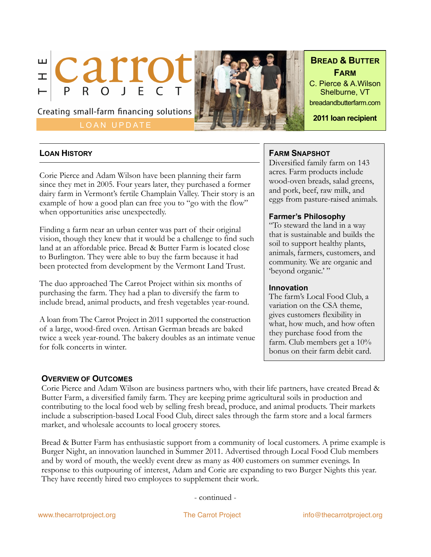

LOAN UPDATE



**BREAD & BUTTER FARM**

C. Pierce & A.Wilson Shelburne, VT breadandbutterfarm.com

**2011 loan recipient**

# **LOAN HISTORY**

Corie Pierce and Adam Wilson have been planning their farm since they met in 2005. Four years later, they purchased a former dairy farm in Vermont's fertile Champlain Valley. Their story is an example of how a good plan can free you to "go with the flow" when opportunities arise unexpectedly.

Finding a farm near an urban center was part of their original vision, though they knew that it would be a challenge to find such land at an affordable price. Bread & Butter Farm is located close to Burlington. They were able to buy the farm because it had been protected from development by the Vermont Land Trust.

The duo approached The Carrot Project within six months of purchasing the farm. They had a plan to diversify the farm to include bread, animal products, and fresh vegetables year-round.

A loan from The Carrot Project in 2011 supported the construction of a large, wood-fired oven. Artisan German breads are baked twice a week year-round. The bakery doubles as an intimate venue for folk concerts in winter.

## **FARM SNAPSHOT**

Diversified family farm on 143 acres. Farm products include wood-oven breads, salad greens, and pork, beef, raw milk, and eggs from pasture-raised animals.

## **Farmer's Philosophy**

"To steward the land in a way that is sustainable and builds the soil to support healthy plants, animals, farmers, customers, and community. We are organic and 'beyond organic.'"

#### **Innovation**

The farm's Local Food Club, a variation on the CSA theme, gives customers flexibility in what, how much, and how often they purchase food from the farm. Club members get a 10% bonus on their farm debit card.

## **OVERVIEW OF OUTCOMES**

Corie Pierce and Adam Wilson are business partners who, with their life partners, have created Bread & Butter Farm, a diversified family farm. They are keeping prime agricultural soils in production and contributing to the local food web by selling fresh bread, produce, and animal products. Their markets include a subscription-based Local Food Club, direct sales through the farm store and a local farmers market, and wholesale accounts to local grocery stores.

Bread & Butter Farm has enthusiastic support from a community of local customers. A prime example is Burger Night, an innovation launched in Summer 2011. Advertised through Local Food Club members and by word of mouth, the weekly event drew as many as 400 customers on summer evenings. In response to this outpouring of interest, Adam and Corie are expanding to two Burger Nights this year. They have recently hired two employees to supplement their work.

- continued -